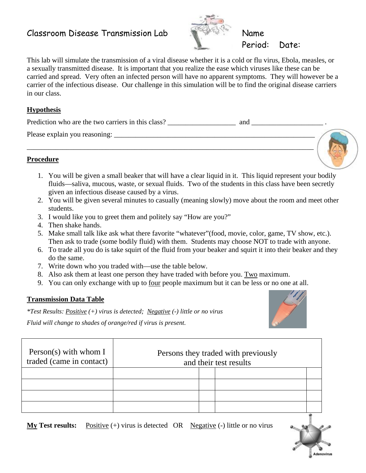# Classroom Disease Transmission Lab Name



This lab will simulate the transmission of a viral disease whether it is a cold or flu virus, Ebola, measles, or a sexually transmitted disease. It is important that you realize the ease which viruses like these can be carried and spread. Very often an infected person will have no apparent symptoms. They will however be a carrier of the infectious disease. Our challenge in this simulation will be to find the original disease carriers in our class.

### **Hypothesis**

| Prediction who are the two carriers in this class? | and |  |
|----------------------------------------------------|-----|--|
| Please explain you reasoning:                      |     |  |

\_\_\_\_\_\_\_\_\_\_\_\_\_\_\_\_\_\_\_\_\_\_\_\_\_\_\_\_\_\_\_\_\_\_\_\_\_\_\_\_\_\_\_\_\_\_\_\_\_\_\_\_\_\_\_\_\_\_\_\_\_\_\_\_\_\_\_\_\_\_\_\_\_\_\_\_\_\_\_\_

### **Procedure**

- 1. You will be given a small beaker that will have a clear liquid in it. This liquid represent your bodily fluids—saliva, mucous, waste, or sexual fluids. Two of the students in this class have been secretly given an infectious disease caused by a virus.
- 2. You will be given several minutes to casually (meaning slowly) move about the room and meet other students.
- 3. I would like you to greet them and politely say "How are you?"
- 4. Then shake hands.
- 5. Make small talk like ask what there favorite "whatever"(food, movie, color, game, TV show, etc.). Then ask to trade (some bodily fluid) with them. Students may choose NOT to trade with anyone.
- 6. To trade all you do is take squirt of the fluid from your beaker and squirt it into their beaker and they do the same.
- 7. Write down who you traded with—use the table below.
- 8. Also ask them at least one person they have traded with before you. Two maximum.
- 9. You can only exchange with up to four people maximum but it can be less or no one at all.

#### **Transmission Data Table**

*\*Test Results: Positive (+) virus is detected; Negative (-) little or no virus* 

*Fluid will change to shades of orange/red if virus is present.* 



**My Test results:** Positive (+) virus is detected OR Negative (-) little or no virus



Adenovirus